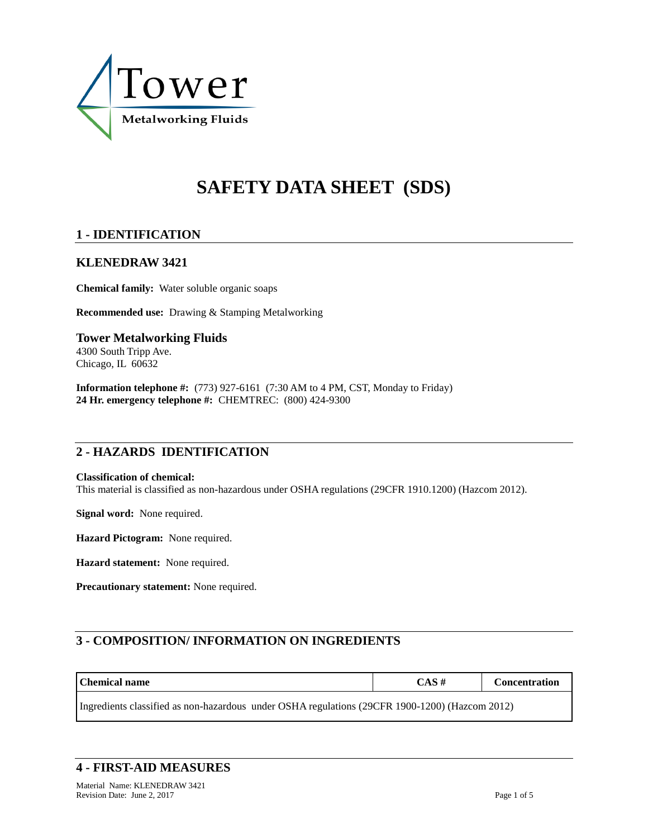

# **SAFETY DATA SHEET (SDS)**

# **1 - IDENTIFICATION**

## **KLENEDRAW 3421**

**Chemical family:** Water soluble organic soaps

**Recommended use:** Drawing & Stamping Metalworking

**Tower Metalworking Fluids** 4300 South Tripp Ave. Chicago, IL 60632

**Information telephone #:** (773) 927-6161 (7:30 AM to 4 PM, CST, Monday to Friday) **24 Hr. emergency telephone #:** CHEMTREC: (800) 424-9300

# **2 - HAZARDS IDENTIFICATION**

#### **Classification of chemical:**

This material is classified as non-hazardous under OSHA regulations (29CFR 1910.1200) (Hazcom 2012).

**Signal word:** None required.

**Hazard Pictogram:** None required.

**Hazard statement:** None required.

**Precautionary statement:** None required.

# **3 - COMPOSITION/ INFORMATION ON INGREDIENTS**

| Chemical name                                                                                  | $CAS \#$ | <b>Concentration</b> |  |  |  |
|------------------------------------------------------------------------------------------------|----------|----------------------|--|--|--|
| Ingredients classified as non-hazardous under OSHA regulations (29CFR 1900-1200) (Hazcom 2012) |          |                      |  |  |  |

## **4 - FIRST-AID MEASURES**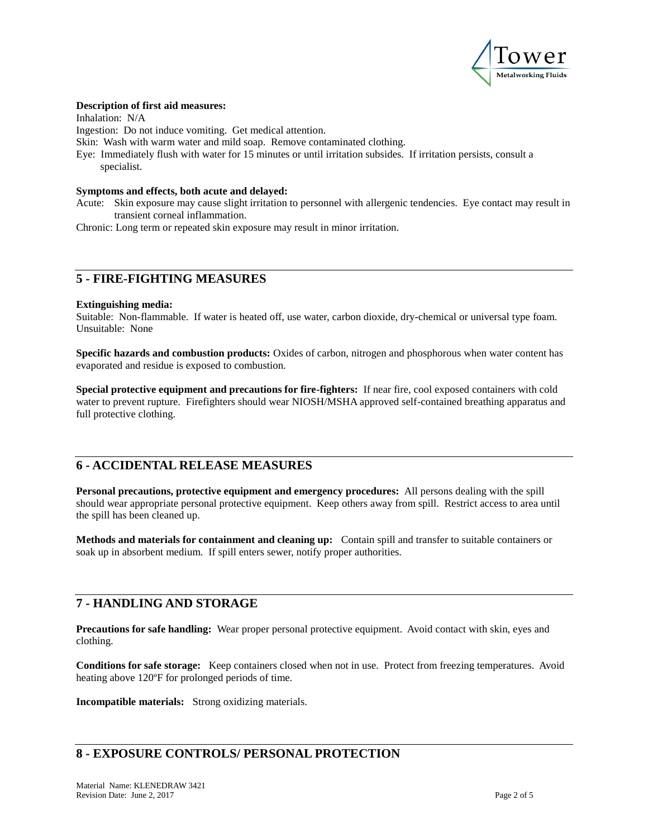

#### **Description of first aid measures:**

Inhalation: N/A

Ingestion: Do not induce vomiting. Get medical attention.

Skin: Wash with warm water and mild soap. Remove contaminated clothing.

Eye: Immediately flush with water for 15 minutes or until irritation subsides. If irritation persists, consult a specialist.

#### **Symptoms and effects, both acute and delayed:**

Acute: Skin exposure may cause slight irritation to personnel with allergenic tendencies. Eye contact may result in transient corneal inflammation.

Chronic: Long term or repeated skin exposure may result in minor irritation.

# **5 - FIRE-FIGHTING MEASURES**

#### **Extinguishing media:**

Suitable: Non-flammable. If water is heated off, use water, carbon dioxide, dry-chemical or universal type foam. Unsuitable: None

**Specific hazards and combustion products:** Oxides of carbon, nitrogen and phosphorous when water content has evaporated and residue is exposed to combustion.

**Special protective equipment and precautions for fire-fighters:** If near fire, cool exposed containers with cold water to prevent rupture. Firefighters should wear NIOSH/MSHA approved self-contained breathing apparatus and full protective clothing.

## **6 - ACCIDENTAL RELEASE MEASURES**

**Personal precautions, protective equipment and emergency procedures:** All persons dealing with the spill should wear appropriate personal protective equipment. Keep others away from spill. Restrict access to area until the spill has been cleaned up.

**Methods and materials for containment and cleaning up:** Contain spill and transfer to suitable containers or soak up in absorbent medium. If spill enters sewer, notify proper authorities.

## **7 - HANDLING AND STORAGE**

**Precautions for safe handling:** Wear proper personal protective equipment. Avoid contact with skin, eyes and clothing.

**Conditions for safe storage:** Keep containers closed when not in use. Protect from freezing temperatures. Avoid heating above 120ºF for prolonged periods of time.

**Incompatible materials:** Strong oxidizing materials.

# **8 - EXPOSURE CONTROLS/ PERSONAL PROTECTION**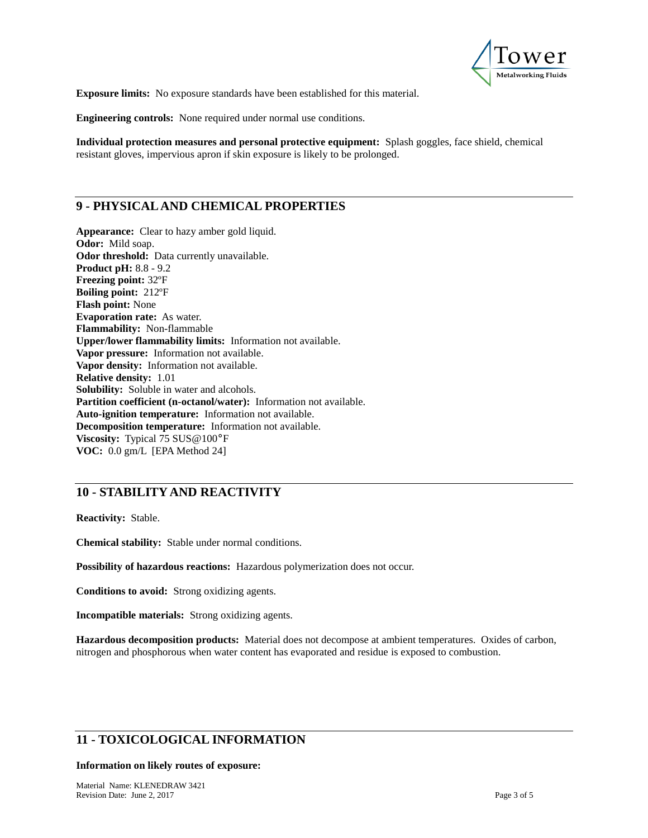

**Exposure limits:** No exposure standards have been established for this material.

**Engineering controls:** None required under normal use conditions.

**Individual protection measures and personal protective equipment:** Splash goggles, face shield, chemical resistant gloves, impervious apron if skin exposure is likely to be prolonged.

# **9 - PHYSICAL AND CHEMICAL PROPERTIES**

**Appearance:** Clear to hazy amber gold liquid. **Odor:** Mild soap. **Odor threshold:** Data currently unavailable. **Product pH:** 8.8 - 9.2 **Freezing point:** 32ºF **Boiling point:** 212ºF **Flash point:** None **Evaporation rate:** As water. **Flammability:** Non-flammable **Upper/lower flammability limits:** Information not available. **Vapor pressure:** Information not available. **Vapor density:** Information not available. **Relative density:** 1.01 **Solubility:** Soluble in water and alcohols. **Partition coefficient (n-octanol/water):** Information not available. **Auto-ignition temperature:** Information not available. **Decomposition temperature:** Information not available. **Viscosity:** Typical 75 SUS@100°F **VOC:** 0.0 gm/L [EPA Method 24]

## **10 - STABILITY AND REACTIVITY**

**Reactivity:** Stable.

**Chemical stability:** Stable under normal conditions.

**Possibility of hazardous reactions:** Hazardous polymerization does not occur.

**Conditions to avoid:** Strong oxidizing agents.

**Incompatible materials:** Strong oxidizing agents.

**Hazardous decomposition products:** Material does not decompose at ambient temperatures. Oxides of carbon, nitrogen and phosphorous when water content has evaporated and residue is exposed to combustion.

# **11 - TOXICOLOGICAL INFORMATION**

#### **Information on likely routes of exposure:**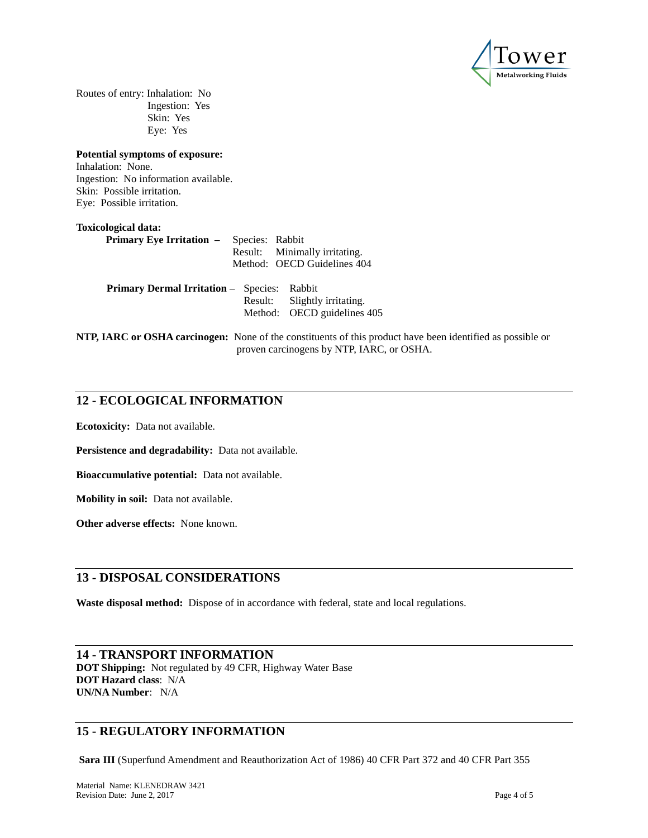

Routes of entry: Inhalation: No Ingestion: Yes Skin: Yes Eye: Yes

**Potential symptoms of exposure:** Inhalation: None. Ingestion: No information available. Skin: Possible irritation. Eye: Possible irritation.

| Toxicological data:                             |                               |
|-------------------------------------------------|-------------------------------|
| <b>Primary Eye Irritation –</b> Species: Rabbit |                               |
|                                                 | Result: Minimally irritating. |
|                                                 | Method: OECD Guidelines 404   |
|                                                 |                               |

| <b>Primary Dermal Irritation - Species: Rabbit</b> |                              |
|----------------------------------------------------|------------------------------|
|                                                    | Result: Slightly irritating. |
|                                                    | Method: OECD guidelines 405  |
|                                                    |                              |

**NTP, IARC or OSHA carcinogen:** None of the constituents of this product have been identified as possible or proven carcinogens by NTP, IARC, or OSHA.

## **12 - ECOLOGICAL INFORMATION**

**Ecotoxicity:** Data not available.

**Persistence and degradability:** Data not available.

**Bioaccumulative potential:** Data not available.

**Mobility in soil:** Data not available.

**Other adverse effects:** None known.

#### **13 - DISPOSAL CONSIDERATIONS**

**Waste disposal method:** Dispose of in accordance with federal, state and local regulations.

#### **14 - TRANSPORT INFORMATION**

**DOT Shipping:** Not regulated by 49 CFR, Highway Water Base **DOT Hazard class**: N/A **UN/NA Number**: N/A

## **15 - REGULATORY INFORMATION**

**Sara III** (Superfund Amendment and Reauthorization Act of 1986) 40 CFR Part 372 and 40 CFR Part 355